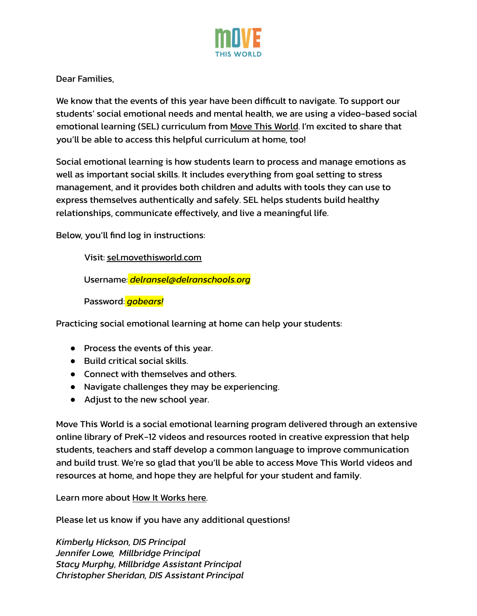

Dear Families,

We know that the events of this year have been difficult to navigate. To support our students' social emotional needs and mental health, we are using a video-based social emotional learning (SEL) curriculum from Move This [World](https://www.movethisworld.com/social-emotional-learning-families/). I'm excited to share that you'll be able to access this helpful curriculum at home, too!

Social emotional learning is how students learn to process and manage emotions as well as important social skills. It includes everything from goal setting to stress management, and it provides both children and adults with tools they can use to express themselves authentically and safely. SEL helps students build healthy relationships, communicate effectively, and live a meaningful life.

Below, you'll find log in instructions:

Visit: [sel.movethisworld.com](http://sel.movethisworld.com)

Username: *delransel@delranschools.org*

Password: *gobears!*

Practicing social emotional learning at home can help your students:

- Process the events of this year.
- Build critical social skills
- Connect with themselves and others
- Navigate challenges they may be experiencing.
- Adjust to the new school year.

Move This World is a social emotional learning program delivered through an extensive online library of PreK-12 videos and resources rooted in creative expression that help students, teachers and staff develop a common language to improve communication and build trust. We're so glad that you'll be able to access Move This World videos and resources at home, and hope they are helpful for your student and family.

Learn more about How It [Works](https://vimeo.com/388605206) here.

Please let us know if you have any additional questions!

*Kimberly Hickson, DIS Principal Jennifer Lowe, Millbridge Principal Stacy Murphy, Millbridge Assistant Principal Christopher Sheridan, DIS Assistant Principal*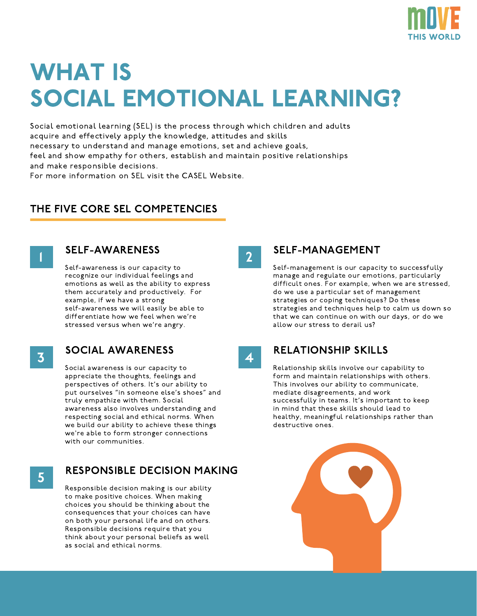

# WHAT IS SOCIAL EMOTIONAL LEARNING?

Social emotional learning (SEL) is the process through which children and adults acquire and effectively apply the knowledge, attitudes and skills necessary to understand and manage emotions, set and achieve goals, feel and show empathy for others, establish and maintain positive relationships and make responsible decisions.

For more information on SEL visit the CASEL Website.

## THE FIVE CORE SEL COMPETENCIES



### SELF-AWARENESS

Self-awareness is our capacity to recognize our individual feelings and emotions as well as the ability to express them accurately and productively. For example, if we have a strong self-awareness we will easily be able to differentiate how we feel when we're stressed versus when we're angry.

3

## SOCIAL AWARENESS

Social awareness is our capacity to appreciate the thoughts, feelings and perspectives of others. It's our ability to put ourselves "in someone else's shoes" and truly empathize with them. Social awareness also involves understanding and respecting social and ethical norms. When we build our ability to achieve these things we're able to form stronger connections with our communities.

5

## RESPONSIBLE DECISION MAKING

Responsible decision making is our ability to make positive choices. When making choices you should be thinking about the consequences that your choices can have on both your personal life and on others. Responsible decisions require that you think about your personal beliefs as well as social and ethical norms.

2

4

### SELF-MANAGEMENT

Self-management is our capacity to successfully manage and regulate our emotions, particularly difficult ones. For example, when we are stressed, do we use a particular set of management strategies or coping techniques? Do these strategies and techniques help to calm us down so that we can continue on with our days, or do we allow our stress to derail us?

RELATIONSHIP SKILLS

Relationship skills involve our capability to form and maintain relationships with others. This involves our ability to communicate, mediate disagreements, and work successfully in teams. It's important to keep in mind that these skills should lead to healthy, meaningful relationships rather than destructive ones.

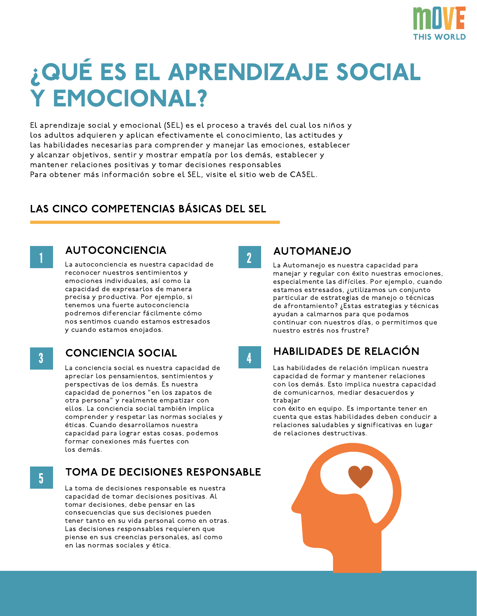

# ¿QUÉ ES EL APRENDIZAJE SOCIAL Y EMOCIONAL?

El aprendizaje social y emocional (SEL) es el proceso a través del cual los niños y los adultos adquieren y aplican efectivamente el conocimiento, las actitudes y las habilidades necesarias para comprender y manejar las emociones, establecer y alcanzar objetivos, sentir y mostrar empatía por los demás, establecer y mantener relaciones positivas y tomar decisiones responsables Para obtener más información sobre el SEL, visite el sitio web de CASEL.

## LAS CINCO COMPETENCIAS BÁSICAS DEL SEL



## AUTOCONCIENCIA

La autoconciencia es nuestra capacidad de reconocer nuestros sentimientos y emociones individuales, así como la capacidad de expresarlos de manera precisa y productiva. Por ejemplo, si tenemos una fuerte autoconciencia podremos diferenciar fácilmente cómo nos sentimos cuando estamos estresados y cuando estamos enojados.

3

## CONCIENCIA SOCIAL

La conciencia social es nuestra capacidad de apreciar los pensamientos, sentimientos y perspectivas de los demás. Es nuestra capacidad de ponernos "en los zapatos de otra persona" y realmente empatizar con ellos. La conciencia social también implica comprender y respetar las normas sociales y éticas. Cuando desarrollamos nuestra capacidad para lograr estas cosas, podemos formar conexiones más fuertes con los demás.

5

## TOMA DE DECISIONES RESPONSABLE

La toma de decisiones responsable es nuestra capacidad de tomar decisiones positivas. Al tomar decisiones, debe pensar en las consecuencias que sus decisiones pueden tener tanto en su vida personal como en otras. Las decisiones responsables requieren que piense en sus creencias personales, así como en las normas sociales y ética.

2

## AUTOMANEJO

La Automanejo es nuestra capacidad para manejar y regular con éxito nuestras emociones, especialmente las difíciles. Por ejemplo, cuando estamos estresados, ¿utilizamos un conjunto particular de estrategias de manejo o técnicas de afrontamiento? ¿Estas estrategias y técnicas ayudan a calmarnos para que podamos continuar con nuestros días, o permitimos que nuestro estrés nos frustre?

4

## HABILIDADES DE RELACIÓN

Las habilidades de relación implican nuestra capacidad de formar y mantener relaciones con los demás. Esto implica nuestra capacidad de comunicarnos, mediar desacuerdos y trabajar

con éxito en equipo. Es importante tener en cuenta que estas habilidades deben conducir a relaciones saludables y significativas en lugar de relaciones destructivas.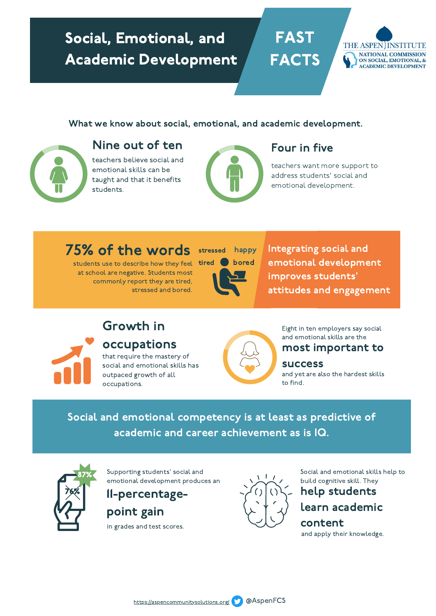# Social, Emotional, and Academic Development

**FAST** FACTS

## What we know about social, emotional, and academic development.



## Nine out of ten Four in five

teachers believe social and emotional skills can be taught and that it benefits students.



teachers want more support to address students' social and emotional development.

THE ASPEN INSTITUTE NATIONAL COMMISSION ON SOCIAL, EMOTIONAL, & **ACADEMIC DEVELOPMENT** 

students use to describe how they feel **tired bored** at school are negative. Students most commonly report they are tired, stressed and bored.



75% of the words stressed happy Integrating social and students use to describe how they feel tired bored emotional development emotional development improves students' attitudes and engagement

# Growth in

occupations

that require the mastery of social and emotional skills has outpaced growth of all occupations.



Eight in ten employers say social and emotional skills are the

## most important to

success

and yet are also the hardest skills to find.

Social and emotional competency is at least as predictive of academic and career achievement as is IQ.



Supporting students' social and emotional development produces an

11-percentagepoint gain

in grades and test scores.



Social and emotional skills help to build cognitive skill. They

# help students

## learn academic

content and apply their knowledge.